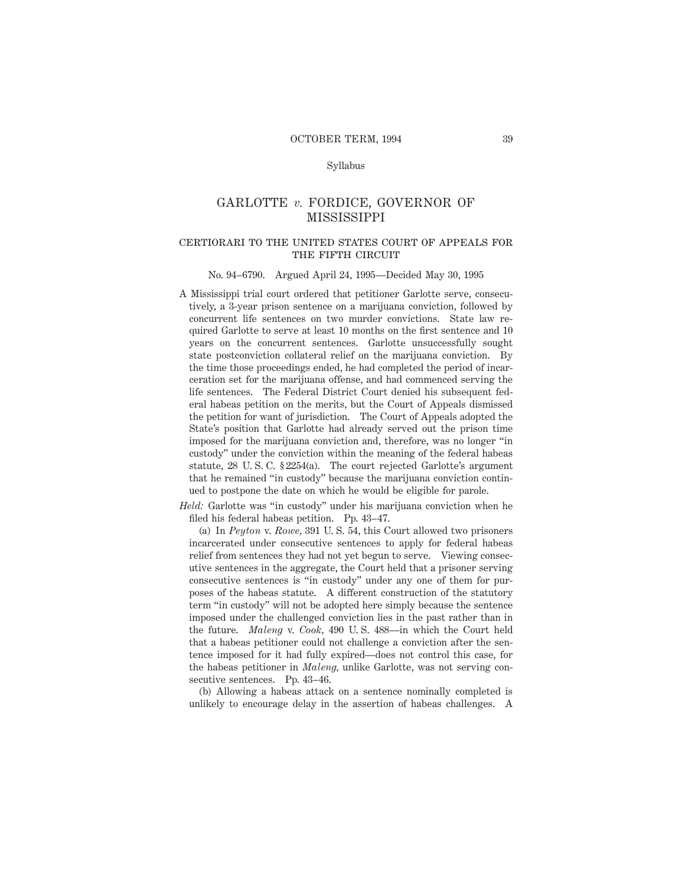### Syllabus

# GARLOTTE *v.* FORDICE, GOVERNOR OF **MISSISSIPPI**

### certiorari to the united states court of appeals forTHE FIFTH CIRCUIT

#### No. 94–6790. Argued April 24, 1995—Decided May 30, 1995

A Mississippi trial court ordered that petitioner Garlotte serve, consecutively, a 3-year prison sentence on a marijuana conviction, followed by concurrent life sentences on two murder convictions. State law required Garlotte to serve at least 10 months on the first sentence and 10 years on the concurrent sentences. Garlotte unsuccessfully sought state postconviction collateral relief on the marijuana conviction. By the time those proceedings ended, he had completed the period of incarceration set for the marijuana offense, and had commenced serving the life sentences. The Federal District Court denied his subsequent federal habeas petition on the merits, but the Court of Appeals dismissed the petition for want of jurisdiction. The Court of Appeals adopted the State's position that Garlotte had already served out the prison time imposed for the marijuana conviction and, therefore, was no longer "in custody" under the conviction within the meaning of the federal habeas statute, 28 U. S. C. § 2254(a). The court rejected Garlotte's argument that he remained "in custody" because the marijuana conviction continued to postpone the date on which he would be eligible for parole.

*Held:* Garlotte was "in custody" under his marijuana conviction when he filed his federal habeas petition. Pp. 43–47.

(a) In *Peyton* v. *Rowe,* 391 U. S. 54, this Court allowed two prisoners incarcerated under consecutive sentences to apply for federal habeas relief from sentences they had not yet begun to serve. Viewing consecutive sentences in the aggregate, the Court held that a prisoner serving consecutive sentences is "in custody" under any one of them for purposes of the habeas statute. A different construction of the statutory term "in custody" will not be adopted here simply because the sentence imposed under the challenged conviction lies in the past rather than in the future. *Maleng* v. *Cook,* 490 U. S. 488—in which the Court held that a habeas petitioner could not challenge a conviction after the sentence imposed for it had fully expired—does not control this case, for the habeas petitioner in *Maleng,* unlike Garlotte, was not serving consecutive sentences. Pp. 43–46.

(b) Allowing a habeas attack on a sentence nominally completed is unlikely to encourage delay in the assertion of habeas challenges. A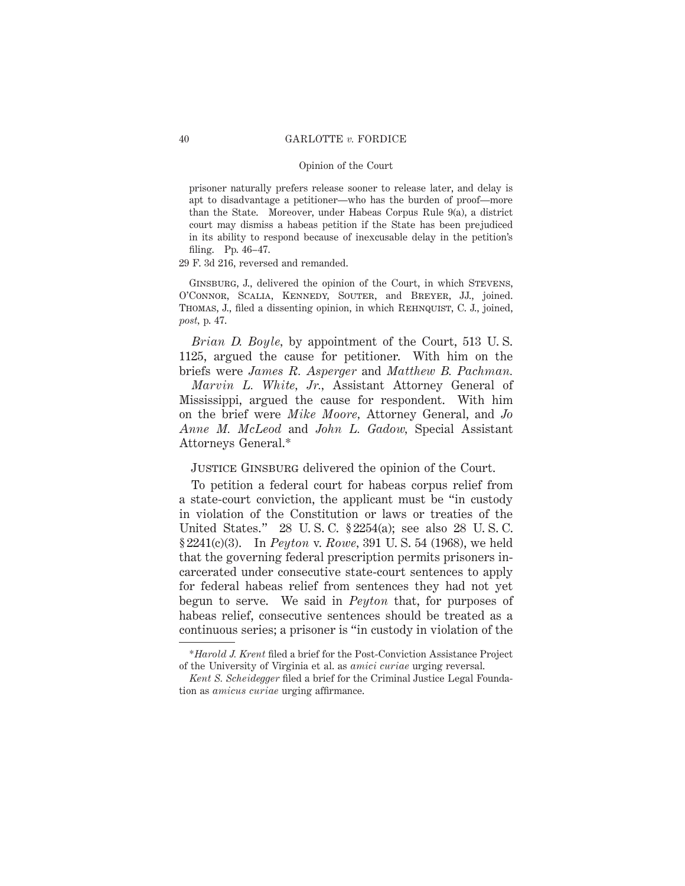prisoner naturally prefers release sooner to release later, and delay is apt to disadvantage a petitioner—who has the burden of proof—more than the State. Moreover, under Habeas Corpus Rule 9(a), a district court may dismiss a habeas petition if the State has been prejudiced in its ability to respond because of inexcusable delay in the petition's filing. Pp. 46–47.

29 F. 3d 216, reversed and remanded.

GINSBURG, J., delivered the opinion of the Court, in which STEVENS, O'Connor, Scalia, Kennedy, Souter, and Breyer, JJ., joined. THOMAS, J., filed a dissenting opinion, in which REHNQUIST, C. J., joined, *post,* p. 47.

*Brian D. Boyle,* by appointment of the Court, 513 U. S. 1125, argued the cause for petitioner. With him on the briefs were *James R. Asperger* and *Matthew B. Pachman.*

*Marvin L. White, Jr.,* Assistant Attorney General of Mississippi, argued the cause for respondent. With him on the brief were *Mike Moore,* Attorney General, and *Jo Anne M. McLeod* and *John L. Gadow,* Special Assistant Attorneys General.\*

JUSTICE GINSBURG delivered the opinion of the Court.

To petition a federal court for habeas corpus relief from a state-court conviction, the applicant must be "in custody in violation of the Constitution or laws or treaties of the United States." 28 U. S. C. § 2254(a); see also 28 U. S. C. § 2241(c)(3). In *Peyton* v. *Rowe,* 391 U. S. 54 (1968), we held that the governing federal prescription permits prisoners incarcerated under consecutive state-court sentences to apply for federal habeas relief from sentences they had not yet begun to serve. We said in *Peyton* that, for purposes of habeas relief, consecutive sentences should be treated as a continuous series; a prisoner is "in custody in violation of the

<sup>\*</sup>*Harold J. Krent* filed a brief for the Post-Conviction Assistance Project of the University of Virginia et al. as *amici curiae* urging reversal.

*Kent S. Scheidegger* filed a brief for the Criminal Justice Legal Foundation as *amicus curiae* urging affirmance.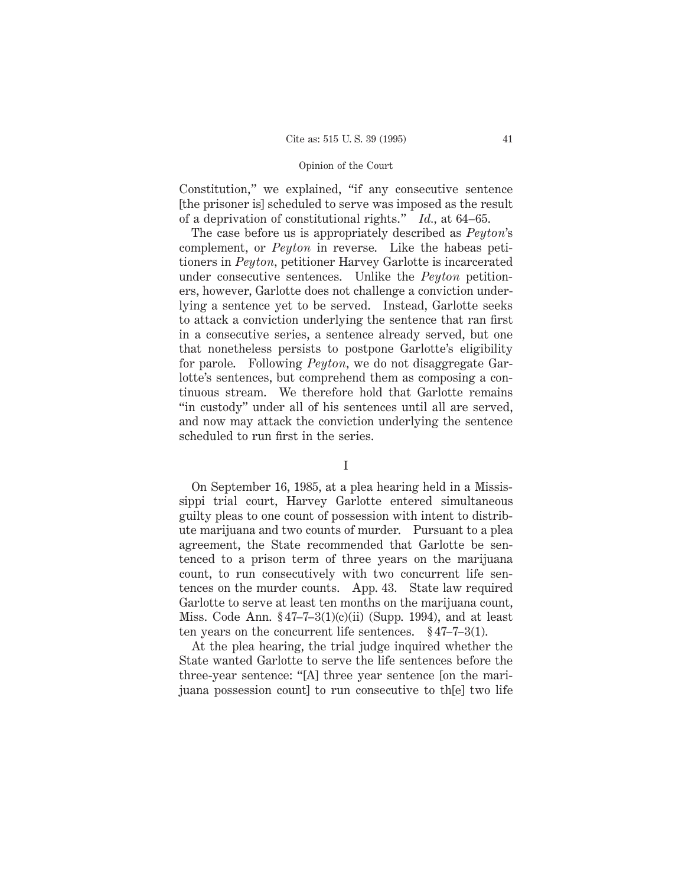Constitution," we explained, "if any consecutive sentence [the prisoner is] scheduled to serve was imposed as the result of a deprivation of constitutional rights." *Id.,* at 64–65.

The case before us is appropriately described as *Peyton*'s complement, or *Peyton* in reverse. Like the habeas petitioners in *Peyton,* petitioner Harvey Garlotte is incarcerated under consecutive sentences. Unlike the *Peyton* petitioners, however, Garlotte does not challenge a conviction underlying a sentence yet to be served. Instead, Garlotte seeks to attack a conviction underlying the sentence that ran first in a consecutive series, a sentence already served, but one that nonetheless persists to postpone Garlotte's eligibility for parole. Following *Peyton*, we do not disaggregate Garlotte's sentences, but comprehend them as composing a continuous stream. We therefore hold that Garlotte remains "in custody" under all of his sentences until all are served, and now may attack the conviction underlying the sentence scheduled to run first in the series.

### I

On September 16, 1985, at a plea hearing held in a Mississippi trial court, Harvey Garlotte entered simultaneous guilty pleas to one count of possession with intent to distribute marijuana and two counts of murder. Pursuant to a plea agreement, the State recommended that Garlotte be sentenced to a prison term of three years on the marijuana count, to run consecutively with two concurrent life sentences on the murder counts. App. 43. State law required Garlotte to serve at least ten months on the marijuana count, Miss. Code Ann.  $$47-7-3(1)(c)(ii)$  (Supp. 1994), and at least ten years on the concurrent life sentences.  $\S 47-7-3(1)$ .

At the plea hearing, the trial judge inquired whether the State wanted Garlotte to serve the life sentences before the three-year sentence: "[A] three year sentence [on the marijuana possession count] to run consecutive to th[e] two life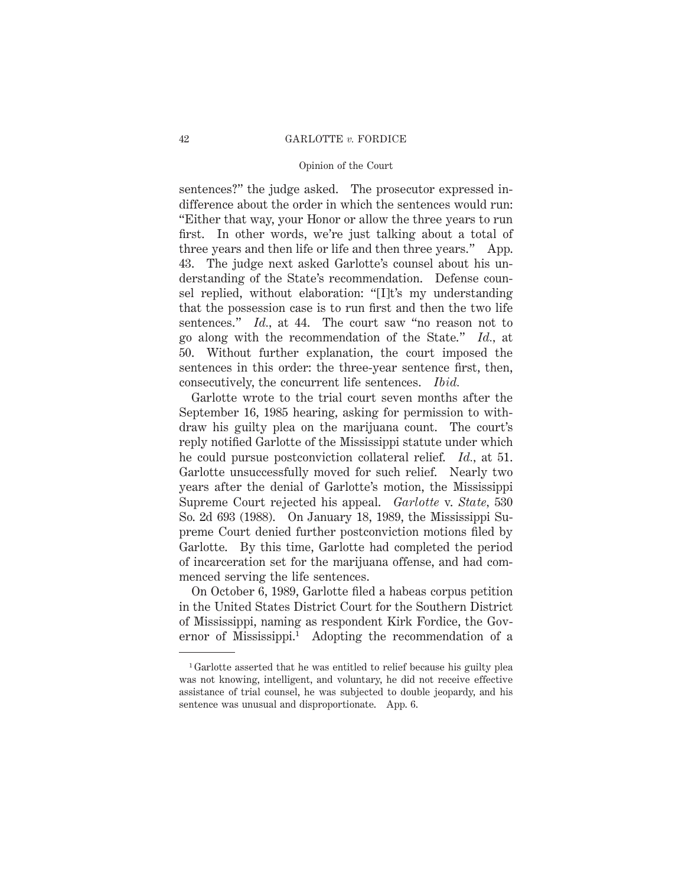sentences?" the judge asked. The prosecutor expressed indifference about the order in which the sentences would run: "Either that way, your Honor or allow the three years to run first. In other words, we're just talking about a total of three years and then life or life and then three years." App. 43. The judge next asked Garlotte's counsel about his understanding of the State's recommendation. Defense counsel replied, without elaboration: "[I]t's my understanding that the possession case is to run first and then the two life sentences." *Id.*, at 44. The court saw "no reason not to go along with the recommendation of the State." *Id.,* at 50. Without further explanation, the court imposed the sentences in this order: the three-year sentence first, then, consecutively, the concurrent life sentences. *Ibid.*

Garlotte wrote to the trial court seven months after the September 16, 1985 hearing, asking for permission to withdraw his guilty plea on the marijuana count. The court's reply notified Garlotte of the Mississippi statute under which he could pursue postconviction collateral relief. *Id.,* at 51. Garlotte unsuccessfully moved for such relief. Nearly two years after the denial of Garlotte's motion, the Mississippi Supreme Court rejected his appeal. *Garlotte* v. *State,* 530 So. 2d 693 (1988). On January 18, 1989, the Mississippi Supreme Court denied further postconviction motions filed by Garlotte. By this time, Garlotte had completed the period of incarceration set for the marijuana offense, and had commenced serving the life sentences.

On October 6, 1989, Garlotte filed a habeas corpus petition in the United States District Court for the Southern District of Mississippi, naming as respondent Kirk Fordice, the Governor of Mississippi.1 Adopting the recommendation of a

<sup>1</sup> Garlotte asserted that he was entitled to relief because his guilty plea was not knowing, intelligent, and voluntary, he did not receive effective assistance of trial counsel, he was subjected to double jeopardy, and his sentence was unusual and disproportionate. App. 6.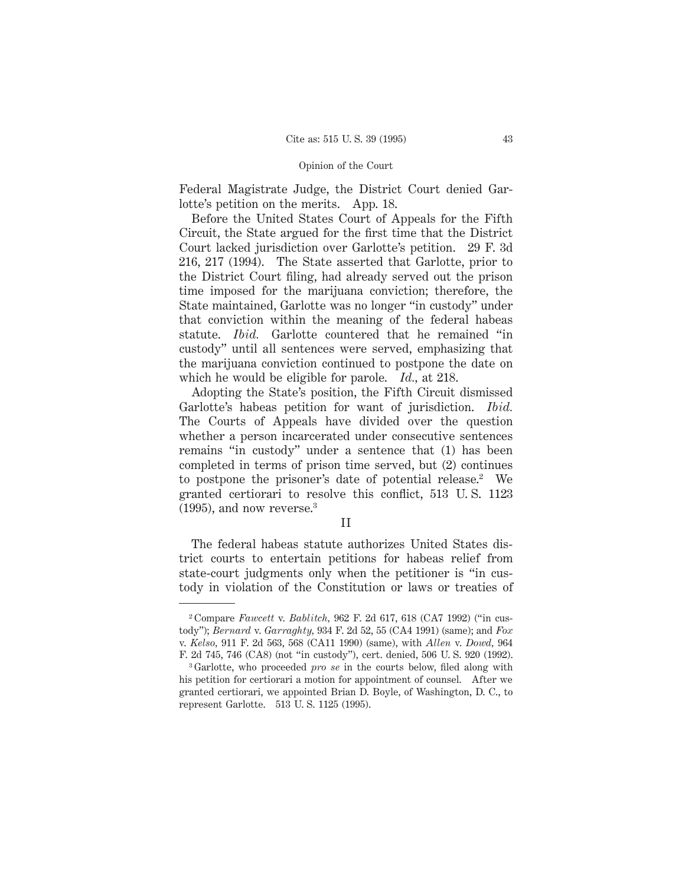Federal Magistrate Judge, the District Court denied Garlotte's petition on the merits. App. 18.

Before the United States Court of Appeals for the Fifth Circuit, the State argued for the first time that the District Court lacked jurisdiction over Garlotte's petition. 29 F. 3d 216, 217 (1994). The State asserted that Garlotte, prior to the District Court filing, had already served out the prison time imposed for the marijuana conviction; therefore, the State maintained, Garlotte was no longer "in custody" under that conviction within the meaning of the federal habeas statute. *Ibid.* Garlotte countered that he remained "in custody" until all sentences were served, emphasizing that the marijuana conviction continued to postpone the date on which he would be eligible for parole. *Id.,* at 218.

Adopting the State's position, the Fifth Circuit dismissed Garlotte's habeas petition for want of jurisdiction. *Ibid.* The Courts of Appeals have divided over the question whether a person incarcerated under consecutive sentences remains "in custody" under a sentence that (1) has been completed in terms of prison time served, but (2) continues to postpone the prisoner's date of potential release.<sup>2</sup> We granted certiorari to resolve this conflict, 513 U. S. 1123 (1995), and now reverse.3

II

The federal habeas statute authorizes United States district courts to entertain petitions for habeas relief from state-court judgments only when the petitioner is "in custody in violation of the Constitution or laws or treaties of

<sup>2</sup> Compare *Fawcett* v. *Bablitch,* 962 F. 2d 617, 618 (CA7 1992) ("in custody"); *Bernard* v. *Garraghty,* 934 F. 2d 52, 55 (CA4 1991) (same); and *Fox* v. *Kelso,* 911 F. 2d 563, 568 (CA11 1990) (same), with *Allen* v. *Dowd,* 964 F. 2d 745, 746 (CA8) (not "in custody"), cert. denied, 506 U. S. 920 (1992).

<sup>3</sup> Garlotte, who proceeded *pro se* in the courts below, filed along with his petition for certiorari a motion for appointment of counsel. After we granted certiorari, we appointed Brian D. Boyle, of Washington, D. C., to represent Garlotte. 513 U. S. 1125 (1995).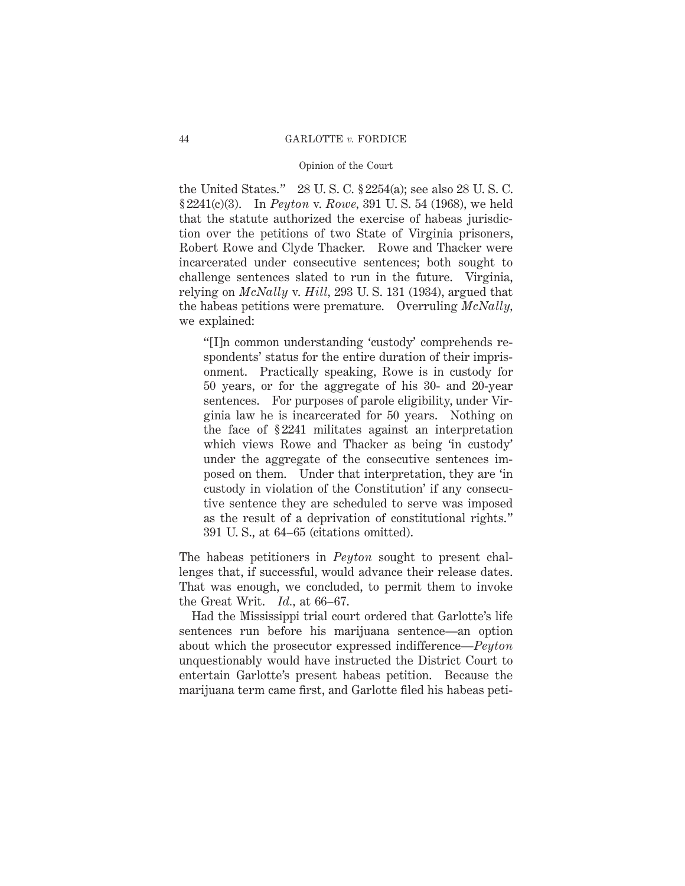the United States." 28 U. S. C. § 2254(a); see also 28 U. S. C. § 2241(c)(3). In *Peyton* v. *Rowe,* 391 U. S. 54 (1968), we held that the statute authorized the exercise of habeas jurisdiction over the petitions of two State of Virginia prisoners, Robert Rowe and Clyde Thacker. Rowe and Thacker were incarcerated under consecutive sentences; both sought to challenge sentences slated to run in the future. Virginia, relying on *McNally* v. *Hill,* 293 U. S. 131 (1934), argued that the habeas petitions were premature. Overruling *McNally,* we explained:

"[I]n common understanding 'custody' comprehends respondents' status for the entire duration of their imprisonment. Practically speaking, Rowe is in custody for 50 years, or for the aggregate of his 30- and 20-year sentences. For purposes of parole eligibility, under Virginia law he is incarcerated for 50 years. Nothing on the face of § 2241 militates against an interpretation which views Rowe and Thacker as being 'in custody' under the aggregate of the consecutive sentences imposed on them. Under that interpretation, they are 'in custody in violation of the Constitution' if any consecutive sentence they are scheduled to serve was imposed as the result of a deprivation of constitutional rights." 391 U. S., at 64–65 (citations omitted).

The habeas petitioners in *Peyton* sought to present challenges that, if successful, would advance their release dates. That was enough, we concluded, to permit them to invoke the Great Writ. *Id.,* at 66–67.

Had the Mississippi trial court ordered that Garlotte's life sentences run before his marijuana sentence—an option about which the prosecutor expressed indifference—*Peyton* unquestionably would have instructed the District Court to entertain Garlotte's present habeas petition. Because the marijuana term came first, and Garlotte filed his habeas peti-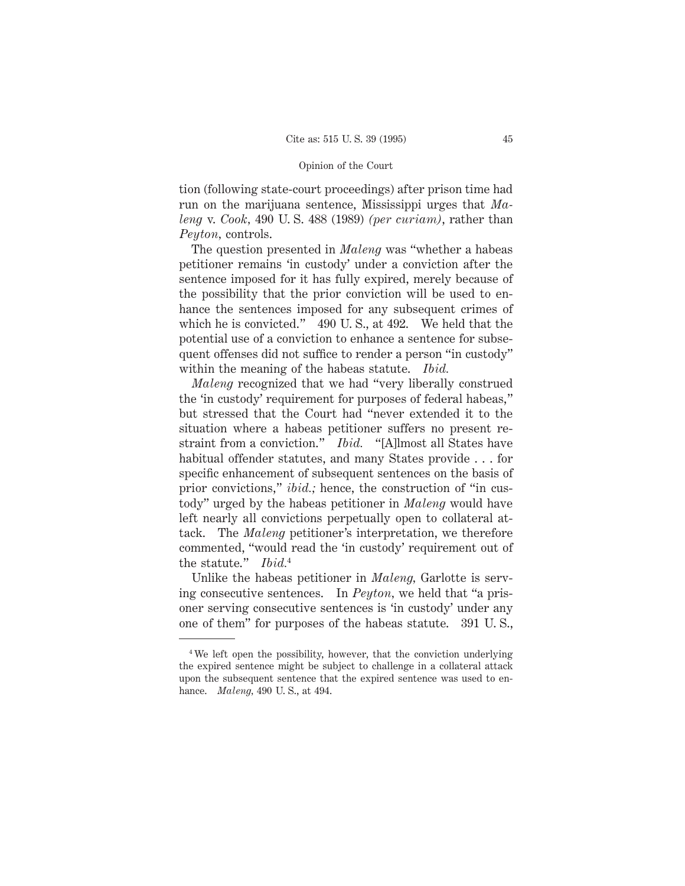tion (following state-court proceedings) after prison time had run on the marijuana sentence, Mississippi urges that *Maleng* v. *Cook,* 490 U. S. 488 (1989) *(per curiam)*, rather than *Peyton,* controls.

The question presented in *Maleng* was "whether a habeas petitioner remains 'in custody' under a conviction after the sentence imposed for it has fully expired, merely because of the possibility that the prior conviction will be used to enhance the sentences imposed for any subsequent crimes of which he is convicted." 490 U. S., at 492. We held that the potential use of a conviction to enhance a sentence for subsequent offenses did not suffice to render a person "in custody" within the meaning of the habeas statute. *Ibid.*

*Maleng* recognized that we had "very liberally construed the 'in custody' requirement for purposes of federal habeas," but stressed that the Court had "never extended it to the situation where a habeas petitioner suffers no present restraint from a conviction." *Ibid.* "[A]lmost all States have habitual offender statutes, and many States provide . . . for specific enhancement of subsequent sentences on the basis of prior convictions," *ibid.;* hence, the construction of "in custody" urged by the habeas petitioner in *Maleng* would have left nearly all convictions perpetually open to collateral attack. The *Maleng* petitioner's interpretation, we therefore commented, "would read the 'in custody' requirement out of the statute." *Ibid.*<sup>4</sup>

Unlike the habeas petitioner in *Maleng,* Garlotte is serving consecutive sentences. In *Peyton,* we held that "a prisoner serving consecutive sentences is 'in custody' under any one of them" for purposes of the habeas statute. 391 U. S.,

<sup>4</sup> We left open the possibility, however, that the conviction underlying the expired sentence might be subject to challenge in a collateral attack upon the subsequent sentence that the expired sentence was used to enhance. *Maleng,* 490 U. S., at 494.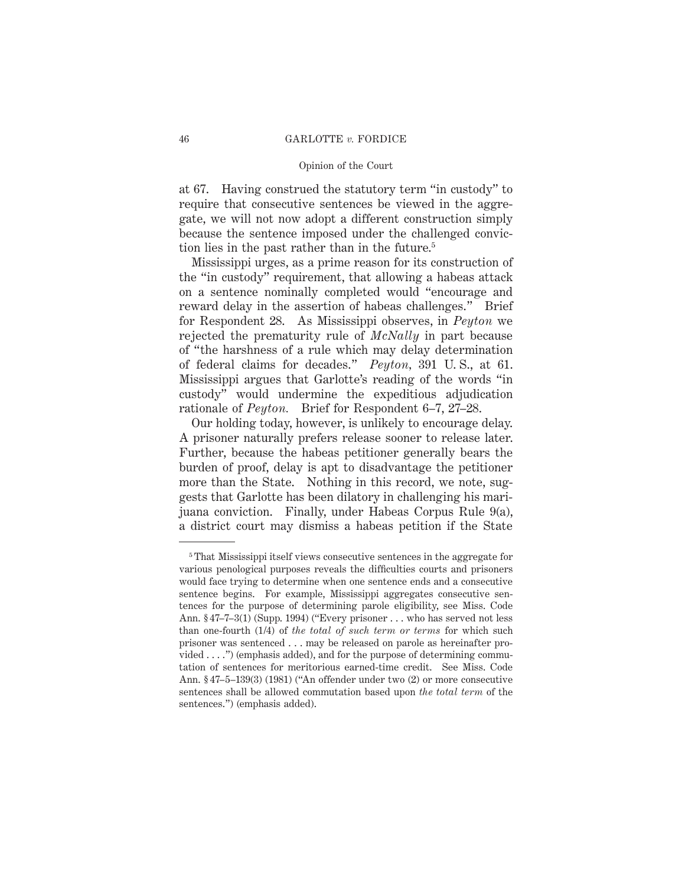#### 46 GARLOTTE *v.* FORDICE

# Opinion of the Court

at 67. Having construed the statutory term "in custody" to require that consecutive sentences be viewed in the aggregate, we will not now adopt a different construction simply because the sentence imposed under the challenged conviction lies in the past rather than in the future.5

Mississippi urges, as a prime reason for its construction of the "in custody" requirement, that allowing a habeas attack on a sentence nominally completed would "encourage and reward delay in the assertion of habeas challenges." Brief for Respondent 28. As Mississippi observes, in *Peyton* we rejected the prematurity rule of *McNally* in part because of "the harshness of a rule which may delay determination of federal claims for decades." *Peyton,* 391 U. S., at 61. Mississippi argues that Garlotte's reading of the words "in custody" would undermine the expeditious adjudication rationale of *Peyton.* Brief for Respondent 6–7, 27–28.

Our holding today, however, is unlikely to encourage delay. A prisoner naturally prefers release sooner to release later. Further, because the habeas petitioner generally bears the burden of proof, delay is apt to disadvantage the petitioner more than the State. Nothing in this record, we note, suggests that Garlotte has been dilatory in challenging his marijuana conviction. Finally, under Habeas Corpus Rule 9(a), a district court may dismiss a habeas petition if the State

<sup>5</sup> That Mississippi itself views consecutive sentences in the aggregate for various penological purposes reveals the difficulties courts and prisoners would face trying to determine when one sentence ends and a consecutive sentence begins. For example, Mississippi aggregates consecutive sentences for the purpose of determining parole eligibility, see Miss. Code Ann. § 47–7–3(1) (Supp. 1994) ("Every prisoner . . . who has served not less than one-fourth (1/4) of *the total of such term or terms* for which such prisoner was sentenced . . . may be released on parole as hereinafter provided . . . .") (emphasis added), and for the purpose of determining commutation of sentences for meritorious earned-time credit. See Miss. Code Ann. § 47–5–139(3) (1981) ("An offender under two (2) or more consecutive sentences shall be allowed commutation based upon *the total term* of the sentences.") (emphasis added).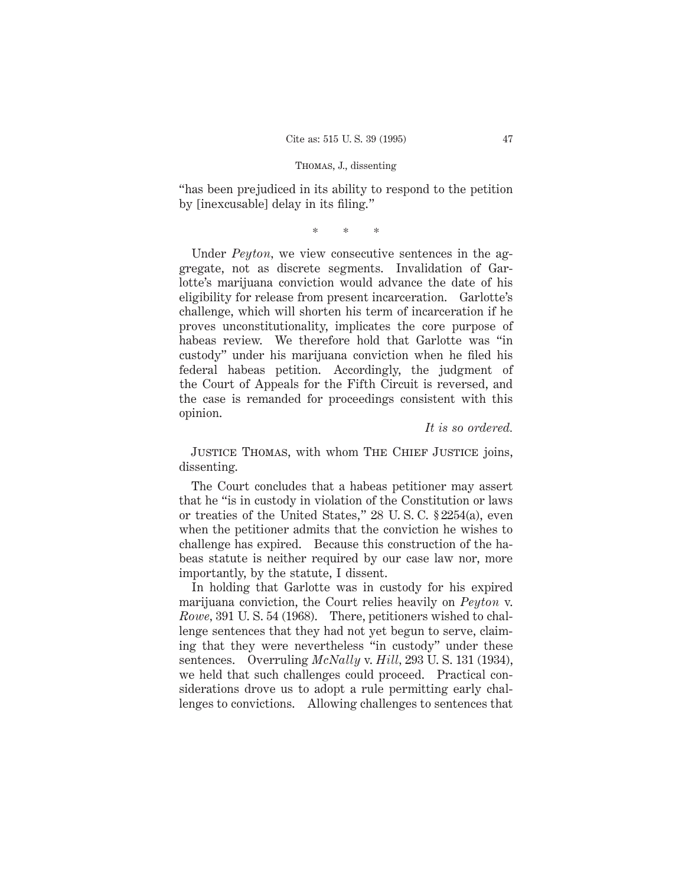# Thomas, J., dissenting

"has been prejudiced in its ability to respond to the petition by [inexcusable] delay in its filing."

\*\*\*

Under *Peyton*, we view consecutive sentences in the aggregate, not as discrete segments. Invalidation of Garlotte's marijuana conviction would advance the date of his eligibility for release from present incarceration. Garlotte's challenge, which will shorten his term of incarceration if he proves unconstitutionality, implicates the core purpose of habeas review. We therefore hold that Garlotte was "in custody" under his marijuana conviction when he filed his federal habeas petition. Accordingly, the judgment of the Court of Appeals for the Fifth Circuit is reversed, and the case is remanded for proceedings consistent with this opinion.

### *It is so ordered.*

JUSTICE THOMAS, with whom THE CHIEF JUSTICE joins, dissenting.

The Court concludes that a habeas petitioner may assert that he "is in custody in violation of the Constitution or laws or treaties of the United States," 28 U. S. C. § 2254(a), even when the petitioner admits that the conviction he wishes to challenge has expired. Because this construction of the habeas statute is neither required by our case law nor, more importantly, by the statute, I dissent.

In holding that Garlotte was in custody for his expired marijuana conviction, the Court relies heavily on *Peyton* v. *Rowe,* 391 U. S. 54 (1968). There, petitioners wished to challenge sentences that they had not yet begun to serve, claiming that they were nevertheless "in custody" under these sentences. Overruling *McNally* v. *Hill,* 293 U. S. 131 (1934), we held that such challenges could proceed. Practical considerations drove us to adopt a rule permitting early challenges to convictions. Allowing challenges to sentences that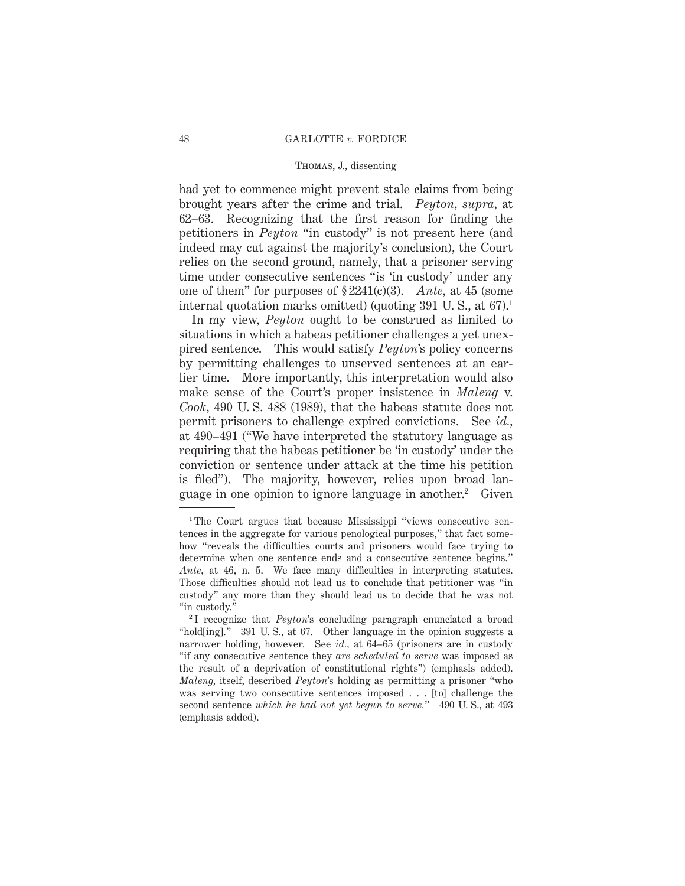# Thomas, J., dissenting

had yet to commence might prevent stale claims from being brought years after the crime and trial. *Peyton, supra,* at 62–63. Recognizing that the first reason for finding the petitioners in *Peyton* "in custody" is not present here (and indeed may cut against the majority's conclusion), the Court relies on the second ground, namely, that a prisoner serving time under consecutive sentences "is 'in custody' under any one of them" for purposes of § 2241(c)(3). *Ante,* at 45 (some internal quotation marks omitted) (quoting  $391$  U.S., at  $67$ ).<sup>1</sup>

In my view, *Peyton* ought to be construed as limited to situations in which a habeas petitioner challenges a yet unexpired sentence. This would satisfy *Peyton*'s policy concerns by permitting challenges to unserved sentences at an earlier time. More importantly, this interpretation would also make sense of the Court's proper insistence in *Maleng* v. *Cook,* 490 U. S. 488 (1989), that the habeas statute does not permit prisoners to challenge expired convictions. See *id.,* at 490–491 ("We have interpreted the statutory language as requiring that the habeas petitioner be 'in custody' under the conviction or sentence under attack at the time his petition is filed"). The majority, however, relies upon broad language in one opinion to ignore language in another.2 Given

<sup>&</sup>lt;sup>1</sup>The Court argues that because Mississippi "views consecutive sentences in the aggregate for various penological purposes," that fact somehow "reveals the difficulties courts and prisoners would face trying to determine when one sentence ends and a consecutive sentence begins." *Ante,* at 46, n. 5. We face many difficulties in interpreting statutes. Those difficulties should not lead us to conclude that petitioner was "in custody" any more than they should lead us to decide that he was not "in custody."

<sup>2</sup> I recognize that *Peyton*'s concluding paragraph enunciated a broad "hold[ing]." 391 U. S., at 67. Other language in the opinion suggests a narrower holding, however. See *id.,* at 64–65 (prisoners are in custody "if any consecutive sentence they *are scheduled to serve* was imposed as the result of a deprivation of constitutional rights") (emphasis added). *Maleng,* itself, described *Peyton*'s holding as permitting a prisoner "who was serving two consecutive sentences imposed . . . [to] challenge the second sentence *which he had not yet begun to serve.*" 490 U. S., at 493 (emphasis added).